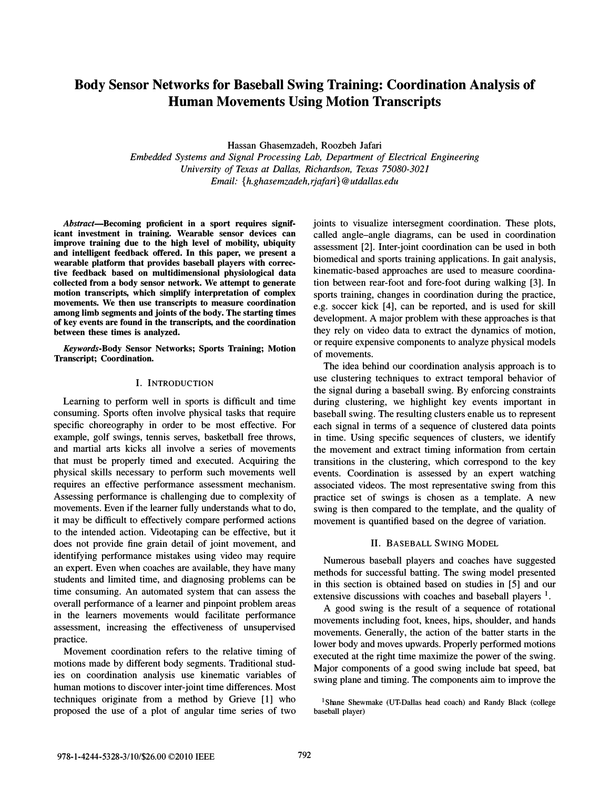# Body Sensor Networks for Baseball Swing Training: Coordination Analysis of Human Movements Using Motion Transcripts

Hassan Ghasemzadeh, Roozbeh Jafari

Embedded Systems and Signal Processing Lab, Department of Electrical Engineering University of Texas at Dallas, Richardson, Texas 75080-3021 Email: {h.ghasemzadeh,rjafari}@utdallas.edu

Abstract-Becoming proficient in a sport requires significant investment in training. Wearable sensor devices can improve training due to the high level of mobility, ubiquity and intelligent feedback offered. In this paper, we present a wearable platform that provides baseball players with corrective feedback based on multidimensional physiological data collected from a body sensor network. We attempt to generate motion transcripts, which simplify interpretation of complex movements. We then use transcripts to measure coordination among limb segments and joints of the body. The starting times of key events are found in the transcripts, and the coordination between these times is analyzed.

Keywords-Body Sensor Networks; Sports Training; Motion Transcript; Coordination.

## I. INTRODUCTION

Learning to perform well in sports is difficult and time consuming. Sports often involve physical tasks that require specific choreography in order to be most effective. For example, golf swings, tennis serves, basketball free throws, and martial arts kicks all involve a series of movements that must be properly timed and executed. Acquiring the physical skills necessary to perform such movements well requires an effective performance assessment mechanism. Assessing performance is challenging due to complexity of movements. Even if the learner fully understands what to do, it may be difficult to effectively compare performed actions to the intended action. Videotaping can be effective, but it does not provide fine grain detail of joint movement, and identifying performance mistakes using video may require an expert. Even when coaches are available, they have many students and limited time, and diagnosing problems can be time consuming. An automated system that can assess the overall performance of a learner and pinpoint problem areas in the learners movements would facilitate performance assessment, increasing the effectiveness of unsupervised practice.

Movement coordination refers to the relative timing of motions made by different body segments. Traditional studies on coordination analysis use kinematic variables of human motions to discover inter-joint time differences. Most techniques originate from a method by Grieve [1] who proposed the use of a plot of angular time series of two

joints to visualize intersegment coordination. These plots, called angle-angle diagrams, can be used in coordination assessment [2]. Inter-joint coordination can be used in both biomedical and sports training applications. In gait analysis, kinematic-based approaches are used to measure coordination between rear-foot and fore-foot during walking [3]. In sports training, changes in coordination during the practice, e.g. soccer kick [4], can be reported, and is used for skill development. A major problem with these approaches is that they rely on video data to extract the dynamics of motion, or require expensive components to analyze physical models of movements.

The idea behind our coordination analysis approach is to use clustering techniques to extract temporal behavior of the signal during a baseball swing. By enforcing constraints during clustering, we highlight key events important in baseball swing. The resulting clusters enable us to represent each signal in terms of a sequence of clustered data points in time. Using specific sequences of clusters, we identify the movement and extract timing information from certain transitions in the clustering, which correspond to the key events. Coordination is assessed by an expert watching associated videos. The most representative swing from this practice set of swings is chosen as a template. A new swing is then compared to the template, and the quality of movement is quantified based on the degree of variation.

#### II. BASEBALL SWING MODEL

Numerous baseball players and coaches have suggested methods for successful batting. The swing model presented in this section is obtained based on studies in [5] and our extensive discussions with coaches and baseball players <sup>1</sup>.

A good swing is the result of a sequence of rotational movements including foot, knees, hips, shoulder, and hands movements. Generally, the action of the batter starts in the lower body and moves upwards. Properly performed motions executed at the right time maximize the power of the swing. Major components of a good swing include bat speed, bat swing plane and timing. The components aim to improve the

 $1$ Shane Shewmake (UT-Dallas head coach) and Randy Black (college baseball player)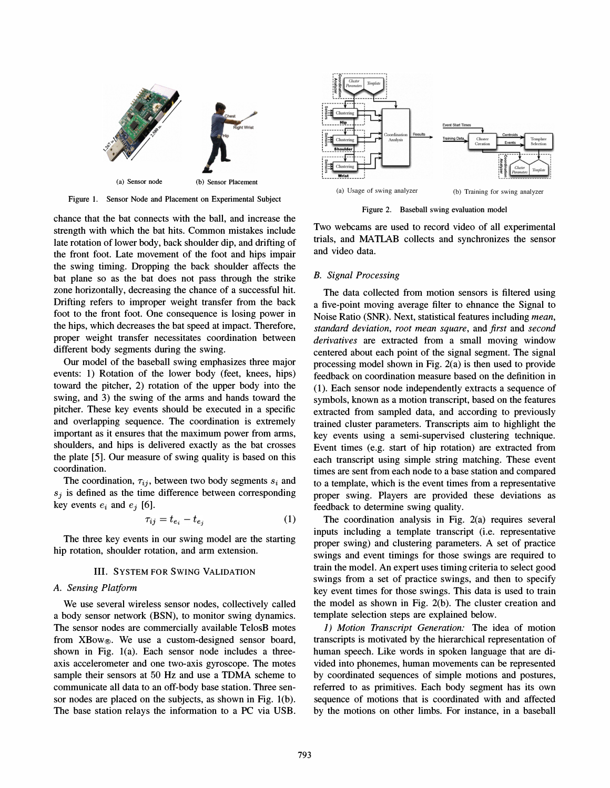

Figure 1. Sensor Node and Placement on Experimental Subject



Figure 2. Baseball swing evaluation model

chance that the bat connects with the ball, and increase the strength with which the bat hits. Common mistakes include late rotation of lower body, back shoulder dip, and drifting of the front foot. Late movement of the foot and hips impair the swing timing. Dropping the back shoulder affects the bat plane so as the bat does not pass through the strike zone horizontally, decreasing the chance of a successful hit. Drifting refers to improper weight transfer from the back foot to the front foot. One consequence is losing power in the hips, which decreases the bat speed at impact. Therefore, proper weight transfer necessitates coordination between different body segments during the swing.

Our model of the baseball swing emphasizes three major events: 1) Rotation of the lower body (feet, knees, hips) toward the pitcher, 2) rotation of the upper body into the swing, and 3) the swing of the arms and hands toward the pitcher. These key events should be executed in a specific and overlapping sequence. The coordination is extremely important as it ensures that the maximum power from arms, shoulders, and hips is delivered exactly as the bat crosses the plate [5]. Our measure of swing quality is based on this coordination.

The coordination,  $\tau_{ij}$ , between two body segments  $s_i$  and  $s_i$  is defined as the time difference between corresponding key events  $e_i$  and  $e_j$  [6].

$$
\tau_{ij} = t_{e_i} - t_{e_j} \tag{1}
$$

The three key events in our swing model are the starting hip rotation, shoulder rotation, and arm extension.

#### III. SYSTEM FOR SWING VALIDATION

## A. Sensing Platform

We use several wireless sensor nodes, collectively called a body sensor network (BSN), to monitor swing dynamics. The sensor nodes are commercially available TelosB motes from XBow®. We use a custom-designed sensor board, shown in Fig. l(a). Each sensor node includes a threeaxis accelerometer and one two-axis gyroscope. The motes sample their sensors at 50 Hz and use a TDMA scheme to communicate all data to an off-body base station. Three sensor nodes are placed on the subjects, as shown in Fig. l(b). The base station relays the information to a PC via USB. Two webcams are used to record video of all experimental trials, and MATLAB collects and synchronizes the sensor and video data.

## B. Signal Processing

The data collected from motion sensors is filtered using a five-point moving average filter to ehnance the Signal to Noise Ratio (SNR). Next, statistical features including mean, standard deviation, root mean square, and first and second derivatives are extracted from a small moving window centered about each point of the signal segment. The signal processing model shown in Fig. 2(a) is then used to provide feedback on coordination measure based on the definition in (1). Each sensor node independently extracts a sequence of symbols, known as a motion transcript, based on the features extracted from sampled data, and according to previously trained cluster parameters. Transcripts aim to highlight the key events using a semi-supervised clustering technique. Event times (e.g. start of hip rotation) are extracted from each transcript using simple string matching. These event times are sent from each node to a base station and compared to a template, which is the event times from a representative proper swing. Players are provided these deviations as feedback to determine swing quality.

The coordination analysis in Fig. 2(a) requires several inputs including a template transcript (i.e. representative proper swing) and clustering parameters. A set of practice swings and event timings for those swings are required to train the model. An expert uses timing criteria to select good swings from a set of practice swings, and then to specify key event times for those swings. This data is used to train the model as shown in Fig. 2(b). The cluster creation and template selection steps are explained below.

1) Motion Transcript Generation: The idea of motion transcripts is motivated by the hierarchical representation of human speech. Like words in spoken language that are divided into phonemes, human movements can be represented by coordinated sequences of simple motions and postures, referred to as primitives. Each body segment has its own sequence of motions that is coordinated with and affected by the motions on other limbs. For instance, in a baseball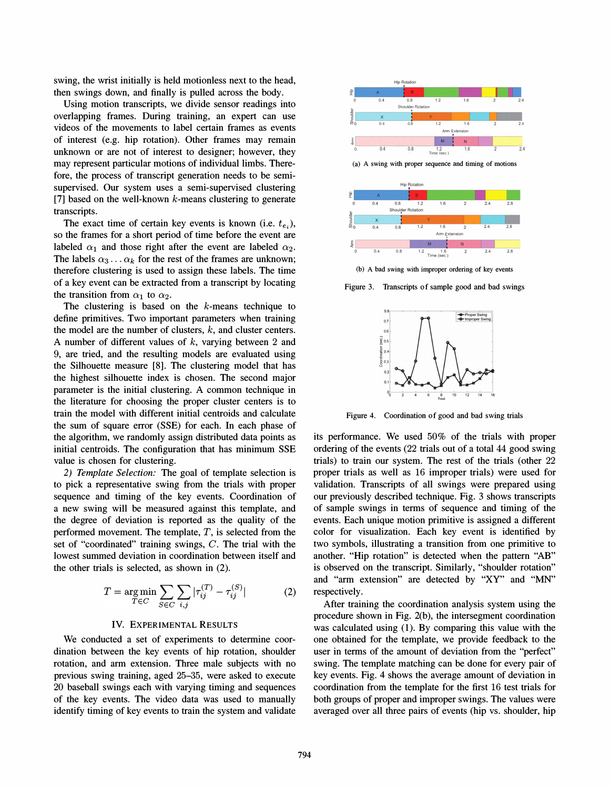swing, the wrist initially is held motionless next to the head, then swings down, and finally is pulled across the body.

Using motion transcripts, we divide sensor readings into overlapping frames. During training, an expert can use videos of the movements to label certain frames as events of interest (e.g. hip rotation). Other frames may remain unknown or are not of interest to designer; however, they may represent particular motions of individual limbs. Therefore, the process of transcript generation needs to be semisupervised. Our system uses a semi-supervised clustering [7] based on the well-known  $k$ -means clustering to generate transcripts.

The exact time of certain key events is known (i.e.  $t_{e_i}$ ), so the frames for a short period of time before the event are labeled  $\alpha_1$  and those right after the event are labeled  $\alpha_2$ . The labels  $\alpha_3 \ldots \alpha_k$  for the rest of the frames are unknown; therefore clustering is used to assign these labels. The time of a key event can be extracted from a transcript by locating the transition from  $\alpha_1$  to  $\alpha_2$ .

The clustering is based on the  $k$ -means technique to define primitives. Two important parameters when training the model are the number of clusters,  $k$ , and cluster centers. A number of different values of  $k$ , varying between 2 and 9, are tried, and the resulting models are evaluated using the Silhouette measure [8]. The clustering model that has the highest silhouette index is chosen. The second major parameter is the initial clustering. A common technique in the literature for choosing the proper cluster centers is to train the model with different initial centroids and calculate the sum of square error (SSE) for each. In each phase of the algorithm, we randomly assign distributed data points as initial centroids. The configuration that has minimum SSE value is chosen for clustering.

2) Template Selection: The goal of template selection is to pick a representative swing from the trials with proper sequence and timing of the key events. Coordination of a new swing will be measured against this template, and the degree of deviation is reported as the quality of the performed movement. The template,  $T$ , is selected from the set of "coordinated" training swings, C. The trial with the lowest summed deviation in coordination between itself and the other trials is selected, as shown in (2).

$$
T = \underset{T \in C}{\arg \min} \sum_{S \in C} \sum_{i,j} |\tau_{ij}^{(T)} - \tau_{ij}^{(S)}|
$$
 (2)

### IV. EXPERIMENTAL RESULTS

We conducted a set of experiments to determine coordination between the key events of hip rotation, shoulder rotation, and arm extension. Three male subjects with no previous swing training, aged 25-35, were asked to execute 20 baseball swings each with varying timing and sequences of the key events. The video data was used to manually identify timing of key events to train the system and validate



(a) A swing with proper sequence and timing of motions



(b) A bad swing with improper ordering of key events

Figure 3. Transcripts of sample good and bad swings



Figure 4. Coordination of good and bad swing trials

its performance. We used 50% of the trials with proper ordering of the events (22 trials out of a total 44 good swing trials) to train our system. The rest of the trials (other 22 proper trials as well as 16 improper trials) were used for validation. Transcripts of all swings were prepared using our previously described technique. Fig. 3 shows transcripts of sample swings in terms of sequence and timing of the events. Each unique motion primitive is assigned a different color for visualization. Each key event is identified by two symbols, illustrating a transition from one primitive to another. "Hip rotation" is detected when the pattern "AB" is observed on the transcript. Similarly, "shoulder rotation" and "arm extension" are detected by "XY" and "MN" respectively.

After training the coordination analysis system using the procedure shown in Fig. 2(b), the intersegment coordination was calculated using (1). By comparing this value with the one obtained for the template, we provide feedback to the user in terms of the amount of deviation from the "perfect" swing. The template matching can be done for every pair of key events. Fig. 4 shows the average amount of deviation in coordination from the template for the first 16 test trials for both groups of proper and improper swings. The values were averaged over all three pairs of events (hip vs. shoulder, hip